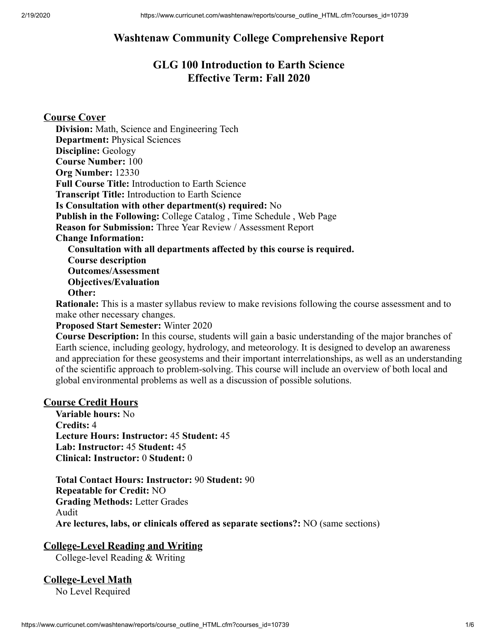## **Washtenaw Community College Comprehensive Report**

# **GLG 100 Introduction to Earth Science Effective Term: Fall 2020**

### **Course Cover**

**Division:** Math, Science and Engineering Tech **Department:** Physical Sciences **Discipline:** Geology **Course Number:** 100 **Org Number:** 12330 **Full Course Title:** Introduction to Earth Science **Transcript Title:** Introduction to Earth Science **Is Consultation with other department(s) required:** No **Publish in the Following:** College Catalog , Time Schedule , Web Page **Reason for Submission:** Three Year Review / Assessment Report **Change Information: Consultation with all departments affected by this course is required. Course description Outcomes/Assessment Objectives/Evaluation Other:**

**Rationale:** This is a master syllabus review to make revisions following the course assessment and to make other necessary changes.

#### **Proposed Start Semester:** Winter 2020

**Course Description:** In this course, students will gain a basic understanding of the major branches of Earth science, including geology, hydrology, and meteorology. It is designed to develop an awareness and appreciation for these geosystems and their important interrelationships, as well as an understanding of the scientific approach to problem-solving. This course will include an overview of both local and global environmental problems as well as a discussion of possible solutions.

#### **Course Credit Hours**

**Variable hours:** No **Credits:** 4 **Lecture Hours: Instructor:** 45 **Student:** 45 **Lab: Instructor:** 45 **Student:** 45 **Clinical: Instructor:** 0 **Student:** 0

**Total Contact Hours: Instructor:** 90 **Student:** 90 **Repeatable for Credit:** NO **Grading Methods:** Letter Grades Audit **Are lectures, labs, or clinicals offered as separate sections?:** NO (same sections)

### **College-Level Reading and Writing**

College-level Reading & Writing

### **College-Level Math**

No Level Required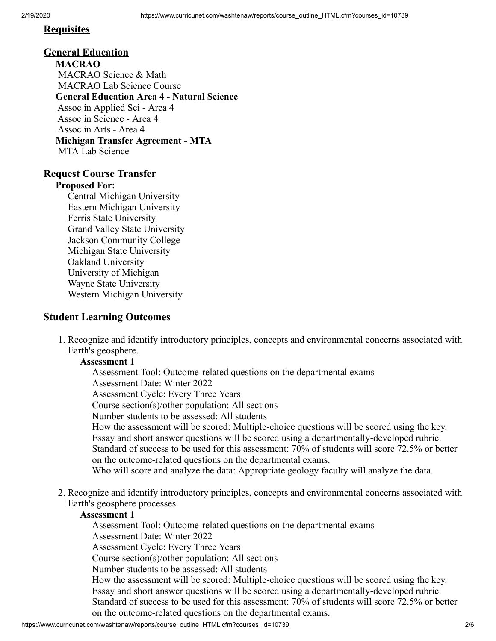## **Requisites**

### **General Education**

**MACRAO** MACRAO Science & Math MACRAO Lab Science Course **General Education Area 4 - Natural Science** Assoc in Applied Sci - Area 4 Assoc in Science - Area 4 Assoc in Arts - Area 4 **Michigan Transfer Agreement - MTA** MTA Lab Science

### **Request Course Transfer**

### **Proposed For:**

Central Michigan University Eastern Michigan University Ferris State University Grand Valley State University Jackson Community College Michigan State University Oakland University University of Michigan Wayne State University Western Michigan University

### **Student Learning Outcomes**

1. Recognize and identify introductory principles, concepts and environmental concerns associated with Earth's geosphere.

### **Assessment 1**

Assessment Tool: Outcome-related questions on the departmental exams Assessment Date: Winter 2022 Assessment Cycle: Every Three Years Course section(s)/other population: All sections Number students to be assessed: All students How the assessment will be scored: Multiple-choice questions will be scored using the key. Essay and short answer questions will be scored using a departmentally-developed rubric. Standard of success to be used for this assessment: 70% of students will score 72.5% or better on the outcome-related questions on the departmental exams. Who will score and analyze the data: Appropriate geology faculty will analyze the data.

2. Recognize and identify introductory principles, concepts and environmental concerns associated with Earth's geosphere processes.

### **Assessment 1**

Assessment Tool: Outcome-related questions on the departmental exams Assessment Date: Winter 2022 Assessment Cycle: Every Three Years Course section(s)/other population: All sections Number students to be assessed: All students

How the assessment will be scored: Multiple-choice questions will be scored using the key. Essay and short answer questions will be scored using a departmentally-developed rubric. Standard of success to be used for this assessment: 70% of students will score 72.5% or better

on the outcome-related questions on the departmental exams.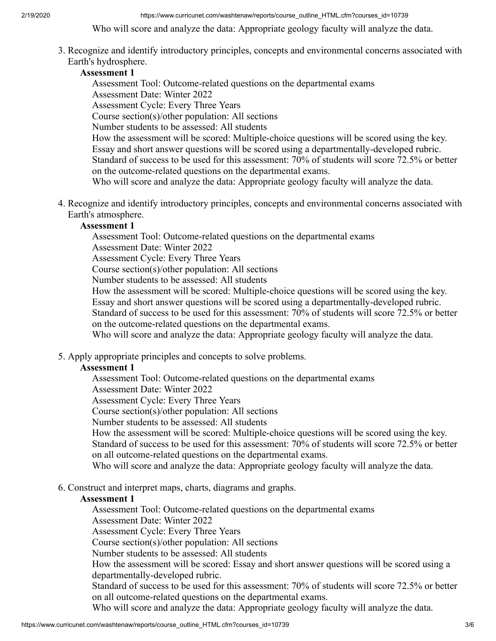2/19/2020 https://www.curricunet.com/washtenaw/reports/course\_outline\_HTML.cfm?courses\_id=10739

Who will score and analyze the data: Appropriate geology faculty will analyze the data.

3. Recognize and identify introductory principles, concepts and environmental concerns associated with Earth's hydrosphere.

### **Assessment 1**

Assessment Tool: Outcome-related questions on the departmental exams Assessment Date: Winter 2022

Assessment Cycle: Every Three Years

Course section(s)/other population: All sections

Number students to be assessed: All students

How the assessment will be scored: Multiple-choice questions will be scored using the key. Essay and short answer questions will be scored using a departmentally-developed rubric. Standard of success to be used for this assessment: 70% of students will score 72.5% or better on the outcome-related questions on the departmental exams.

Who will score and analyze the data: Appropriate geology faculty will analyze the data.

4. Recognize and identify introductory principles, concepts and environmental concerns associated with Earth's atmosphere.

### **Assessment 1**

Assessment Tool: Outcome-related questions on the departmental exams

Assessment Date: Winter 2022

Assessment Cycle: Every Three Years

Course section(s)/other population: All sections

Number students to be assessed: All students

How the assessment will be scored: Multiple-choice questions will be scored using the key.

Essay and short answer questions will be scored using a departmentally-developed rubric.

Standard of success to be used for this assessment: 70% of students will score 72.5% or better on the outcome-related questions on the departmental exams.

Who will score and analyze the data: Appropriate geology faculty will analyze the data.

5. Apply appropriate principles and concepts to solve problems.

## **Assessment 1**

Assessment Tool: Outcome-related questions on the departmental exams

Assessment Date: Winter 2022

Assessment Cycle: Every Three Years

Course section(s)/other population: All sections

Number students to be assessed: All students

How the assessment will be scored: Multiple-choice questions will be scored using the key. Standard of success to be used for this assessment: 70% of students will score 72.5% or better on all outcome-related questions on the departmental exams.

Who will score and analyze the data: Appropriate geology faculty will analyze the data.

6. Construct and interpret maps, charts, diagrams and graphs.

### **Assessment 1**

Assessment Tool: Outcome-related questions on the departmental exams

Assessment Date: Winter 2022

Assessment Cycle: Every Three Years

Course section(s)/other population: All sections

Number students to be assessed: All students

How the assessment will be scored: Essay and short answer questions will be scored using a departmentally-developed rubric.

Standard of success to be used for this assessment: 70% of students will score 72.5% or better on all outcome-related questions on the departmental exams.

Who will score and analyze the data: Appropriate geology faculty will analyze the data.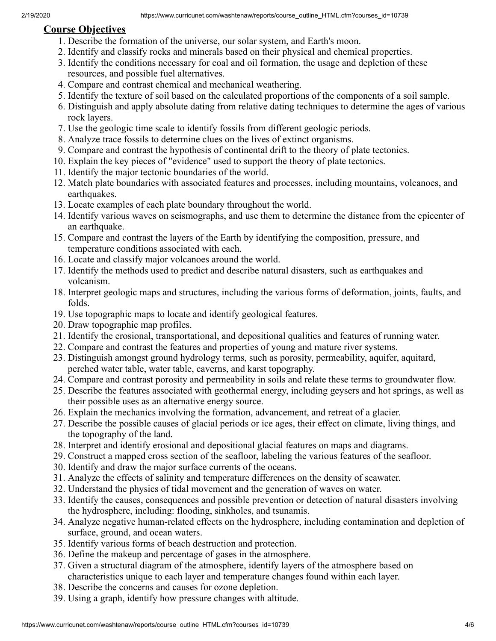## **Course Objectives**

- 1. Describe the formation of the universe, our solar system, and Earth's moon.
- 2. Identify and classify rocks and minerals based on their physical and chemical properties.
- 3. Identify the conditions necessary for coal and oil formation, the usage and depletion of these resources, and possible fuel alternatives.
- 4. Compare and contrast chemical and mechanical weathering.
- 5. Identify the texture of soil based on the calculated proportions of the components of a soil sample.
- 6. Distinguish and apply absolute dating from relative dating techniques to determine the ages of various rock layers.
- 7. Use the geologic time scale to identify fossils from different geologic periods.
- 8. Analyze trace fossils to determine clues on the lives of extinct organisms.
- 9. Compare and contrast the hypothesis of continental drift to the theory of plate tectonics.
- 10. Explain the key pieces of "evidence" used to support the theory of plate tectonics.
- 11. Identify the major tectonic boundaries of the world.
- 12. Match plate boundaries with associated features and processes, including mountains, volcanoes, and earthquakes.
- 13. Locate examples of each plate boundary throughout the world.
- 14. Identify various waves on seismographs, and use them to determine the distance from the epicenter of an earthquake.
- 15. Compare and contrast the layers of the Earth by identifying the composition, pressure, and temperature conditions associated with each.
- 16. Locate and classify major volcanoes around the world.
- 17. Identify the methods used to predict and describe natural disasters, such as earthquakes and volcanism.
- 18. Interpret geologic maps and structures, including the various forms of deformation, joints, faults, and folds.
- 19. Use topographic maps to locate and identify geological features.
- 20. Draw topographic map profiles.
- 21. Identify the erosional, transportational, and depositional qualities and features of running water.
- 22. Compare and contrast the features and properties of young and mature river systems.
- 23. Distinguish amongst ground hydrology terms, such as porosity, permeability, aquifer, aquitard, perched water table, water table, caverns, and karst topography.
- 24. Compare and contrast porosity and permeability in soils and relate these terms to groundwater flow.
- 25. Describe the features associated with geothermal energy, including geysers and hot springs, as well as their possible uses as an alternative energy source.
- 26. Explain the mechanics involving the formation, advancement, and retreat of a glacier.
- 27. Describe the possible causes of glacial periods or ice ages, their effect on climate, living things, and the topography of the land.
- 28. Interpret and identify erosional and depositional glacial features on maps and diagrams.
- 29. Construct a mapped cross section of the seafloor, labeling the various features of the seafloor.
- 30. Identify and draw the major surface currents of the oceans.
- 31. Analyze the effects of salinity and temperature differences on the density of seawater.
- 32. Understand the physics of tidal movement and the generation of waves on water.
- 33. Identify the causes, consequences and possible prevention or detection of natural disasters involving the hydrosphere, including: flooding, sinkholes, and tsunamis.
- 34. Analyze negative human-related effects on the hydrosphere, including contamination and depletion of surface, ground, and ocean waters.
- 35. Identify various forms of beach destruction and protection.
- 36. Define the makeup and percentage of gases in the atmosphere.
- 37. Given a structural diagram of the atmosphere, identify layers of the atmosphere based on characteristics unique to each layer and temperature changes found within each layer.
- 38. Describe the concerns and causes for ozone depletion.
- 39. Using a graph, identify how pressure changes with altitude.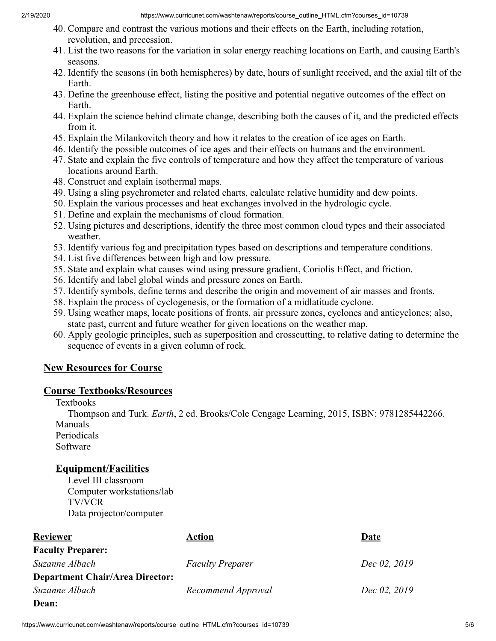- 40. Compare and contrast the various motions and their effects on the Earth, including rotation, revolution, and precession.
- 41. List the two reasons for the variation in solar energy reaching locations on Earth, and causing Earth's seasons.
- 42. Identify the seasons (in both hemispheres) by date, hours of sunlight received, and the axial tilt of the Earth.
- 43. Define the greenhouse effect, listing the positive and potential negative outcomes of the effect on Earth.
- 44. Explain the science behind climate change, describing both the causes of it, and the predicted effects from it.
- 45. Explain the Milankovitch theory and how it relates to the creation of ice ages on Earth.
- 46. Identify the possible outcomes of ice ages and their effects on humans and the environment.
- 47. State and explain the five controls of temperature and how they affect the temperature of various locations around Earth.
- 48. Construct and explain isothermal maps.
- 49. Using a sling psychrometer and related charts, calculate relative humidity and dew points.
- 50. Explain the various processes and heat exchanges involved in the hydrologic cycle.
- 51. Define and explain the mechanisms of cloud formation.
- 52. Using pictures and descriptions, identify the three most common cloud types and their associated weather.
- 53. Identify various fog and precipitation types based on descriptions and temperature conditions.
- 54. List five differences between high and low pressure.
- 55. State and explain what causes wind using pressure gradient, Coriolis Effect, and friction.
- 56. Identify and label global winds and pressure zones on Earth.
- 57. Identify symbols, define terms and describe the origin and movement of air masses and fronts.
- 58. Explain the process of cyclogenesis, or the formation of a midlatitude cyclone.
- 59. Using weather maps, locate positions of fronts, air pressure zones, cyclones and anticyclones; also, state past, current and future weather for given locations on the weather map.
- 60. Apply geologic principles, such as superposition and crosscutting, to relative dating to determine the sequence of events in a given column of rock.

# **New Resources for Course**

## **Course Textbooks/Resources**

Textbooks

Thompson and Turk. *Earth*, 2 ed. Brooks/Cole Cengage Learning, 2015, ISBN: 9781285442266. Manuals

Periodicals Software

# **Equipment/Facilities**

Level III classroom Computer workstations/lab TV/VCR Data projector/computer

| <b>Reviewer</b>                        | Action                  | Date         |
|----------------------------------------|-------------------------|--------------|
| <b>Faculty Preparer:</b>               |                         |              |
| Suzanne Albach                         | <b>Faculty Preparer</b> | Dec 02, 2019 |
| <b>Department Chair/Area Director:</b> |                         |              |
| Suzanne Albach                         | Recommend Approval      | Dec 02, 2019 |
| Dean:                                  |                         |              |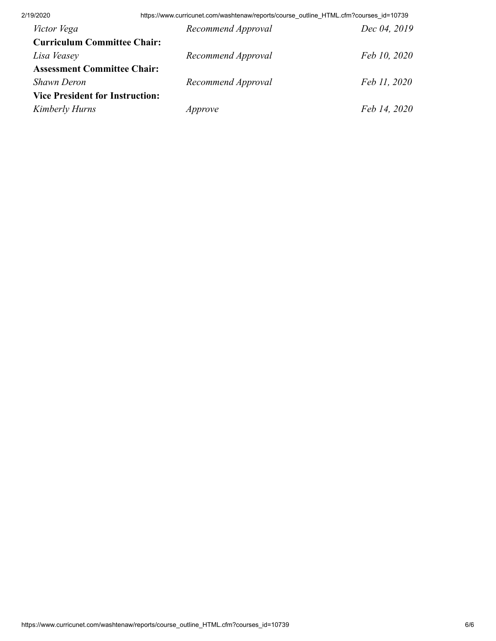2/19/2020 https://www.curricunet.com/washtenaw/reports/course\_outline\_HTML.cfm?courses\_id=10739

| Recommend Approval | Dec 04, 2019 |
|--------------------|--------------|
|                    |              |
| Recommend Approval | Feb 10, 2020 |
|                    |              |
| Recommend Approval | Feb 11, 2020 |
|                    |              |
| Approve            | Feb 14, 2020 |
|                    |              |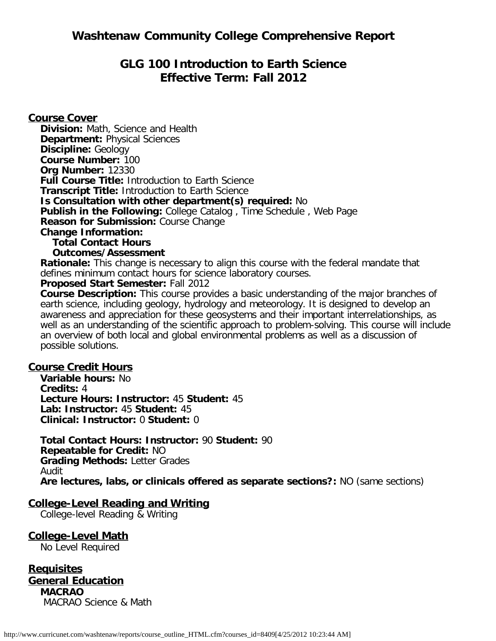# **GLG 100 Introduction to Earth Science Effective Term: Fall 2012**

**Course Cover Division:** Math, Science and Health **Department:** Physical Sciences **Discipline:** Geology **Course Number:** 100 **Org Number:** 12330 **Full Course Title:** Introduction to Earth Science **Transcript Title:** Introduction to Earth Science **Is Consultation with other department(s) required:** No **Publish in the Following:** College Catalog , Time Schedule , Web Page **Reason for Submission:** Course Change **Change Information: Total Contact Hours Outcomes/Assessment Rationale:** This change is necessary to align this course with the federal mandate that defines minimum contact hours for science laboratory courses.

### **Proposed Start Semester:** Fall 2012

**Course Description:** This course provides a basic understanding of the major branches of earth science, including geology, hydrology and meteorology. It is designed to develop an awareness and appreciation for these geosystems and their important interrelationships, as well as an understanding of the scientific approach to problem-solving. This course will include an overview of both local and global environmental problems as well as a discussion of possible solutions.

### **Course Credit Hours**

**Variable hours:** No **Credits:** 4 **Lecture Hours: Instructor:** 45 **Student:** 45 **Lab: Instructor:** 45 **Student:** 45 **Clinical: Instructor:** 0 **Student:** 0

**Total Contact Hours: Instructor:** 90 **Student:** 90 **Repeatable for Credit:** NO **Grading Methods:** Letter Grades Audit **Are lectures, labs, or clinicals offered as separate sections?:** NO (same sections)

### **College-Level Reading and Writing**

College-level Reading & Writing

## **College-Level Math**

No Level Required

**Requisites General Education MACRAO** MACRAO Science & Math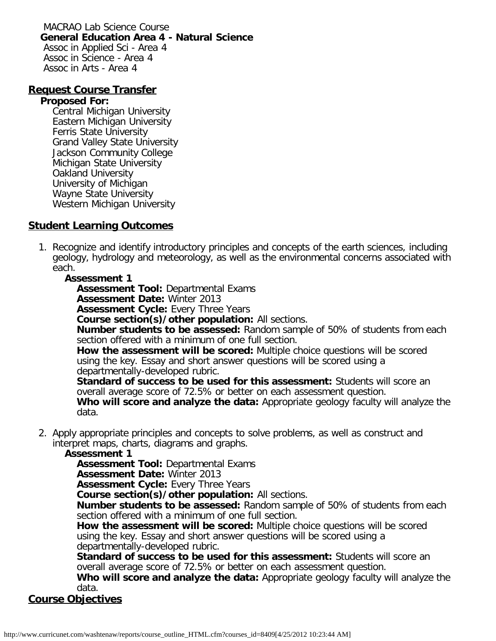MACRAO Lab Science Course **General Education Area 4 - Natural Science** Assoc in Applied Sci - Area 4 Assoc in Science - Area 4 Assoc in Arts - Area 4

### **Request Course Transfer**

#### **Proposed For:**

Central Michigan University Eastern Michigan University Ferris State University Grand Valley State University Jackson Community College Michigan State University Oakland University University of Michigan Wayne State University Western Michigan University

### **Student Learning Outcomes**

1. Recognize and identify introductory principles and concepts of the earth sciences, including geology, hydrology and meteorology, as well as the environmental concerns associated with each.

### **Assessment 1**

**Assessment Tool:** Departmental Exams

**Assessment Date:** Winter 2013

**Assessment Cycle:** Every Three Years

**Course section(s)/other population:** All sections.

**Number students to be assessed:** Random sample of 50% of students from each section offered with a minimum of one full section.

**How the assessment will be scored:** Multiple choice questions will be scored using the key. Essay and short answer questions will be scored using a departmentally-developed rubric.

**Standard of success to be used for this assessment:** Students will score an overall average score of 72.5% or better on each assessment question.

**Who will score and analyze the data:** Appropriate geology faculty will analyze the data.

2. Apply appropriate principles and concepts to solve problems, as well as construct and interpret maps, charts, diagrams and graphs.

### **Assessment 1**

**Assessment Tool:** Departmental Exams

**Assessment Date:** Winter 2013

**Assessment Cycle:** Every Three Years

**Course section(s)/other population:** All sections.

**Number students to be assessed:** Random sample of 50% of students from each section offered with a minimum of one full section.

**How the assessment will be scored:** Multiple choice questions will be scored using the key. Essay and short answer questions will be scored using a departmentally-developed rubric.

**Standard of success to be used for this assessment:** Students will score an overall average score of 72.5% or better on each assessment question.

**Who will score and analyze the data:** Appropriate geology faculty will analyze the data.

### **Course Objectives**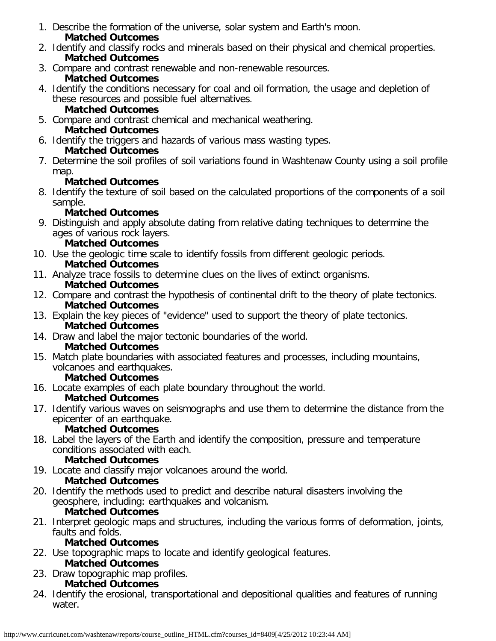- 1. Describe the formation of the universe, solar system and Earth's moon. **Matched Outcomes**
- 2. Identify and classify rocks and minerals based on their physical and chemical properties. **Matched Outcomes**
- 3. Compare and contrast renewable and non-renewable resources.

## **Matched Outcomes**

4. Identify the conditions necessary for coal and oil formation, the usage and depletion of these resources and possible fuel alternatives.

## **Matched Outcomes**

- 5. Compare and contrast chemical and mechanical weathering. **Matched Outcomes**
- 6. Identify the triggers and hazards of various mass wasting types. **Matched Outcomes**
- 7. Determine the soil profiles of soil variations found in Washtenaw County using a soil profile map.

# **Matched Outcomes**

8. Identify the texture of soil based on the calculated proportions of the components of a soil sample.

# **Matched Outcomes**

9. Distinguish and apply absolute dating from relative dating techniques to determine the ages of various rock layers.

# **Matched Outcomes**

- 10. Use the geologic time scale to identify fossils from different geologic periods. **Matched Outcomes**
- 11. Analyze trace fossils to determine clues on the lives of extinct organisms. **Matched Outcomes**
- 12. Compare and contrast the hypothesis of continental drift to the theory of plate tectonics. **Matched Outcomes**
- 13. Explain the key pieces of "evidence" used to support the theory of plate tectonics. **Matched Outcomes**
- 14. Draw and label the major tectonic boundaries of the world. **Matched Outcomes**
- 15. Match plate boundaries with associated features and processes, including mountains, volcanoes and earthquakes.

# **Matched Outcomes**

16. Locate examples of each plate boundary throughout the world.

# **Matched Outcomes**

17. Identify various waves on seismographs and use them to determine the distance from the epicenter of an earthquake.

# **Matched Outcomes**

18. Label the layers of the Earth and identify the composition, pressure and temperature conditions associated with each.

# **Matched Outcomes**

- 19. Locate and classify major volcanoes around the world. **Matched Outcomes**
- 20. Identify the methods used to predict and describe natural disasters involving the geosphere, including: earthquakes and volcanism. **Matched Outcomes**
- 21. Interpret geologic maps and structures, including the various forms of deformation, joints, faults and folds.

# **Matched Outcomes**

- 22. Use topographic maps to locate and identify geological features. **Matched Outcomes**
- 23. Draw topographic map profiles. **Matched Outcomes**
- 24. Identify the erosional, transportational and depositional qualities and features of running water.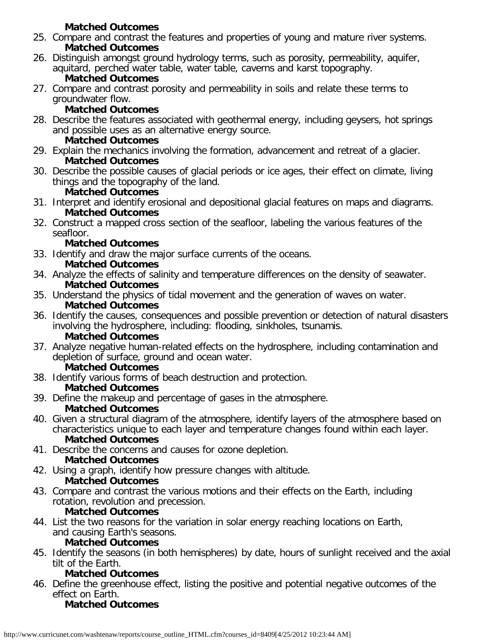## **Matched Outcomes**

- 25. Compare and contrast the features and properties of young and mature river systems. **Matched Outcomes**
- 26. Distinguish amongst ground hydrology terms, such as porosity, permeability, aquifer, aquitard, perched water table, water table, caverns and karst topography.

## **Matched Outcomes**

27. Compare and contrast porosity and permeability in soils and relate these terms to groundwater flow.

# **Matched Outcomes**

28. Describe the features associated with geothermal energy, including geysers, hot springs and possible uses as an alternative energy source.

## **Matched Outcomes**

- 29. Explain the mechanics involving the formation, advancement and retreat of a glacier. **Matched Outcomes**
- 30. Describe the possible causes of glacial periods or ice ages, their effect on climate, living things and the topography of the land.

# **Matched Outcomes**

- 31. Interpret and identify erosional and depositional glacial features on maps and diagrams. **Matched Outcomes**
- 32. Construct a mapped cross section of the seafloor, labeling the various features of the seafloor.

# **Matched Outcomes**

- 33. Identify and draw the major surface currents of the oceans. **Matched Outcomes**
- 34. Analyze the effects of salinity and temperature differences on the density of seawater. **Matched Outcomes**
- 35. Understand the physics of tidal movement and the generation of waves on water. **Matched Outcomes**
- 36. Identify the causes, consequences and possible prevention or detection of natural disasters involving the hydrosphere, including: flooding, sinkholes, tsunamis. **Matched Outcomes**
- 37. Analyze negative human-related effects on the hydrosphere, including contamination and depletion of surface, ground and ocean water.

## **Matched Outcomes**

- 38. Identify various forms of beach destruction and protection. **Matched Outcomes**
- 39. Define the makeup and percentage of gases in the atmosphere.

# **Matched Outcomes**

- 40. Given a structural diagram of the atmosphere, identify layers of the atmosphere based on characteristics unique to each layer and temperature changes found within each layer. **Matched Outcomes**
- 41. Describe the concerns and causes for ozone depletion. **Matched Outcomes**
- 42. Using a graph, identify how pressure changes with altitude. **Matched Outcomes**
- 43. Compare and contrast the various motions and their effects on the Earth, including rotation, revolution and precession.

# **Matched Outcomes**

44. List the two reasons for the variation in solar energy reaching locations on Earth, and causing Earth's seasons.

# **Matched Outcomes**

45. Identify the seasons (in both hemispheres) by date, hours of sunlight received and the axial tilt of the Earth.

# **Matched Outcomes**

46. Define the greenhouse effect, listing the positive and potential negative outcomes of the effect on Earth.

# **Matched Outcomes**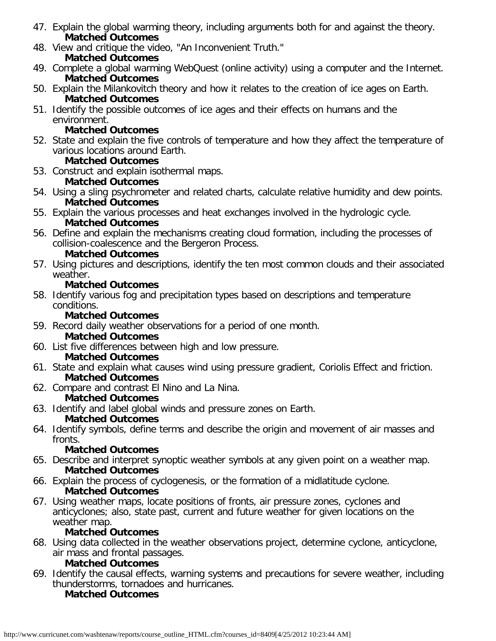- 47. Explain the global warming theory, including arguments both for and against the theory. **Matched Outcomes**
- 48. View and critique the video, "An Inconvenient Truth." **Matched Outcomes**
- 49. Complete a global warming WebQuest (online activity) using a computer and the Internet. **Matched Outcomes**
- 50. Explain the Milankovitch theory and how it relates to the creation of ice ages on Earth. **Matched Outcomes**
- 51. Identify the possible outcomes of ice ages and their effects on humans and the environment.

# **Matched Outcomes**

52. State and explain the five controls of temperature and how they affect the temperature of various locations around Earth.

# **Matched Outcomes**

- 53. Construct and explain isothermal maps. **Matched Outcomes**
- 54. Using a sling psychrometer and related charts, calculate relative humidity and dew points. **Matched Outcomes**
- 55. Explain the various processes and heat exchanges involved in the hydrologic cycle. **Matched Outcomes**
- 56. Define and explain the mechanisms creating cloud formation, including the processes of collision-coalescence and the Bergeron Process.

## **Matched Outcomes**

57. Using pictures and descriptions, identify the ten most common clouds and their associated weather.

# **Matched Outcomes**

58. Identify various fog and precipitation types based on descriptions and temperature conditions.

# **Matched Outcomes**

59. Record daily weather observations for a period of one month.

# **Matched Outcomes**

60. List five differences between high and low pressure.

# **Matched Outcomes**

- 61. State and explain what causes wind using pressure gradient, Coriolis Effect and friction. **Matched Outcomes**
- 62. Compare and contrast El Nino and La Nina.

# **Matched Outcomes**

- 63. Identify and label global winds and pressure zones on Earth.
	- **Matched Outcomes**
- 64. Identify symbols, define terms and describe the origin and movement of air masses and fronts.

# **Matched Outcomes**

- 65. Describe and interpret synoptic weather symbols at any given point on a weather map. **Matched Outcomes**
- 66. Explain the process of cyclogenesis, or the formation of a midlatitude cyclone. **Matched Outcomes**
- 67. Using weather maps, locate positions of fronts, air pressure zones, cyclones and anticyclones; also, state past, current and future weather for given locations on the weather map.

# **Matched Outcomes**

68. Using data collected in the weather observations project, determine cyclone, anticyclone, air mass and frontal passages.

# **Matched Outcomes**

69. Identify the causal effects, warning systems and precautions for severe weather, including thunderstorms, tornadoes and hurricanes. **Matched Outcomes**